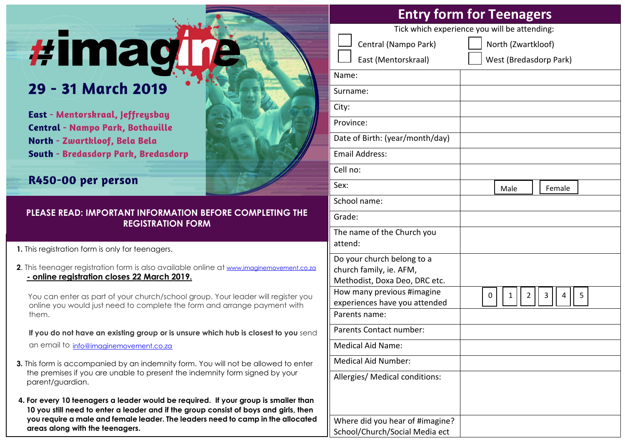# **#imagine**

## 29 - 31 March 2019

East - Mentorskraal, Jeffreysbay **Central - Nampo Park, Bothaville** North - Zwartkloof, Bela Bela **South - Bredasdorp Park, Bredasdorp** 

### R450-00 per person

### **PLEASE READ: IMPORTANT INFORMATION BEFORE COMPLETING THE REGISTRATION FORM**

**1.** This reaistration form is only for teenagers.

**2**. This teenager registration form is also available online at [www.imaginemovement.co.za](http://www.imaginemovement.co.za/) **- online registration closes 22 March 2019.**

You can enter as part of your church/school group. Your leader will register you online you would just need to complete the form and arrange payment with them.

 **If you do not have an existing group or is unsure which hub is closest to you** send an email to [info@imaginemovement.co.za](mailto:info@imaginemovement.co.za)

- **3.** This form is accompanied by an indemnity form. You will not be allowed to enter the premises if you are unable to present the indemnity form signed by your parent/guardian.
- **4. For every 10 teenagers a leader would be required. If your group is smaller than 10 you still need to enter a leader and if the group consist of boys and girls, then you require a male and female leader. The leaders need to camp in the allocated areas along with the teenagers.**

| <b>Entry form for Teenagers</b><br>Tick which experience you will be attending:        |                            |
|----------------------------------------------------------------------------------------|----------------------------|
|                                                                                        |                            |
| Central (Nampo Park)                                                                   | North (Zwartkloof)         |
| East (Mentorskraal)                                                                    | West (Bredasdorp Park)     |
| Name:                                                                                  |                            |
| Surname:                                                                               |                            |
| City:                                                                                  |                            |
| Province:                                                                              |                            |
| Date of Birth: (year/month/day)                                                        |                            |
| <b>Email Address:</b>                                                                  |                            |
| Cell no:                                                                               |                            |
| Sex:                                                                                   | Male<br>Female             |
| School name:                                                                           |                            |
| Grade:                                                                                 |                            |
| The name of the Church you<br>attend:                                                  |                            |
| Do your church belong to a<br>church family, ie. AFM,<br>Methodist, Doxa Deo, DRC etc. |                            |
| How many previous #imagine<br>experiences have you attended                            | 3<br>2<br>5<br>1<br>4<br>0 |
| Parents name:                                                                          |                            |

Parents Contact number:

Allergies/ Medical conditions:

Where did you hear of #imagine? School/Church/Social Media ect

Medical Aid Name:

Medical Aid Number: